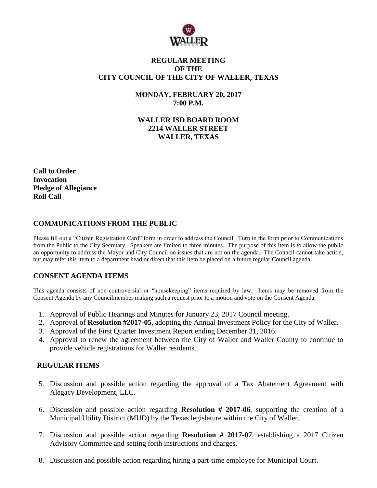

### **REGULAR MEETING OF THE CITY COUNCIL OF THE CITY OF WALLER, TEXAS**

**MONDAY, FEBRUARY 20, 2017 7:00 P.M.**

**WALLER ISD BOARD ROOM 2214 WALLER STREET WALLER, TEXAS**

**Call to Order Invocation Pledge of Allegiance Roll Call**

## **COMMUNICATIONS FROM THE PUBLIC**

Please fill out a "Citizen Registration Card" form in order to address the Council. Turn in the form prior to Communications from the Public to the City Secretary. Speakers are limited to three minutes. The purpose of this item is to allow the public an opportunity to address the Mayor and City Council on issues that are not on the agenda. The Council cannot take action, but may refer this item to a department head or direct that this item be placed on a future regular Council agenda.

### **CONSENT AGENDA ITEMS**

This agenda consists of non-controversial or "housekeeping" items required by law. Items may be removed from the Consent Agenda by any Councilmember making such a request prior to a motion and vote on the Consent Agenda.

- 1. Approval of Public Hearings and Minutes for January 23, 2017 Council meeting.
- 2. Approval of **Resolution #2017-05**, adopting the Annual Investment Policy for the City of Waller.
- 3. Approval of the First Quarter Investment Report ending December 31, 2016.
- 4. Approval to renew the agreement between the City of Waller and Waller County to continue to provide vehicle registrations for Waller residents.

#### **REGULAR ITEMS**

- 5. Discussion and possible action regarding the approval of a Tax Abatement Agreement with Alegacy Development, LLC.
- 6. Discussion and possible action regarding **Resolution # 2017-06**, supporting the creation of a Municipal Utility District (MUD) by the Texas legislature within the City of Waller.
- 7. Discussion and possible action regarding **Resolution # 2017-07**, establishing a 2017 Citizen Advisory Committee and setting forth instructions and charges.
- 8. Discussion and possible action regarding hiring a part-time employee for Municipal Court.